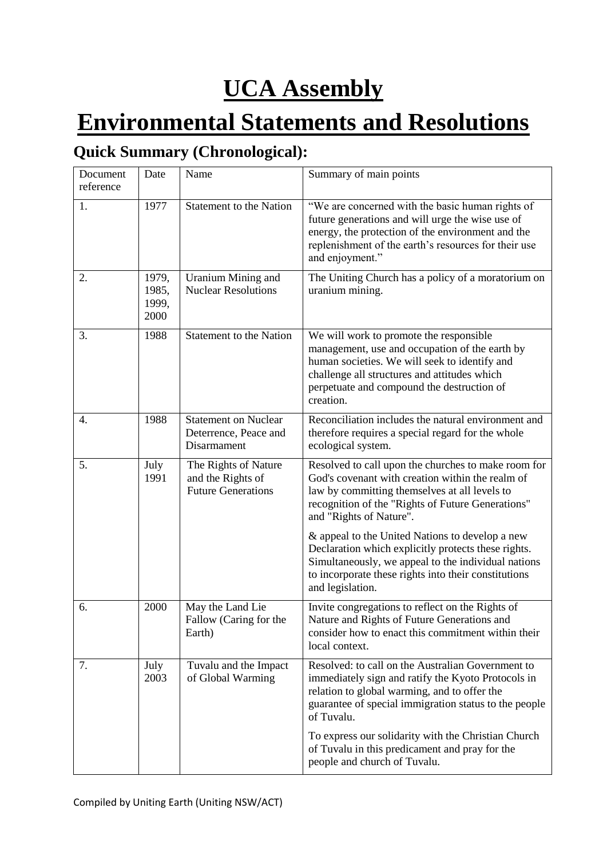# **UCA Assembly**

# **Environmental Statements and Resolutions**

## **Quick Summary (Chronological):**

| Document<br>reference | Date                            | Name                                                                   | Summary of main points                                                                                                                                                                                                                                |
|-----------------------|---------------------------------|------------------------------------------------------------------------|-------------------------------------------------------------------------------------------------------------------------------------------------------------------------------------------------------------------------------------------------------|
| 1.                    | 1977                            | <b>Statement to the Nation</b>                                         | "We are concerned with the basic human rights of<br>future generations and will urge the wise use of<br>energy, the protection of the environment and the<br>replenishment of the earth's resources for their use<br>and enjoyment."                  |
| 2.                    | 1979,<br>1985,<br>1999,<br>2000 | Uranium Mining and<br><b>Nuclear Resolutions</b>                       | The Uniting Church has a policy of a moratorium on<br>uranium mining.                                                                                                                                                                                 |
| 3.                    | 1988                            | <b>Statement to the Nation</b>                                         | We will work to promote the responsible<br>management, use and occupation of the earth by<br>human societies. We will seek to identify and<br>challenge all structures and attitudes which<br>perpetuate and compound the destruction of<br>creation. |
| 4.                    | 1988                            | <b>Statement on Nuclear</b><br>Deterrence, Peace and<br>Disarmament    | Reconciliation includes the natural environment and<br>therefore requires a special regard for the whole<br>ecological system.                                                                                                                        |
| 5.                    | July<br>1991                    | The Rights of Nature<br>and the Rights of<br><b>Future Generations</b> | Resolved to call upon the churches to make room for<br>God's covenant with creation within the realm of<br>law by committing themselves at all levels to<br>recognition of the "Rights of Future Generations"<br>and "Rights of Nature".              |
|                       |                                 |                                                                        | & appeal to the United Nations to develop a new<br>Declaration which explicitly protects these rights.<br>Simultaneously, we appeal to the individual nations<br>to incorporate these rights into their constitutions<br>and legislation.             |
| 6.                    | 2000                            | May the Land Lie<br>Fallow (Caring for the<br>Earth)                   | Invite congregations to reflect on the Rights of<br>Nature and Rights of Future Generations and<br>consider how to enact this commitment within their<br>local context.                                                                               |
| 7.                    | July<br>2003                    | Tuvalu and the Impact<br>of Global Warming                             | Resolved: to call on the Australian Government to<br>immediately sign and ratify the Kyoto Protocols in<br>relation to global warming, and to offer the<br>guarantee of special immigration status to the people<br>of Tuvalu.                        |
|                       |                                 |                                                                        | To express our solidarity with the Christian Church<br>of Tuvalu in this predicament and pray for the<br>people and church of Tuvalu.                                                                                                                 |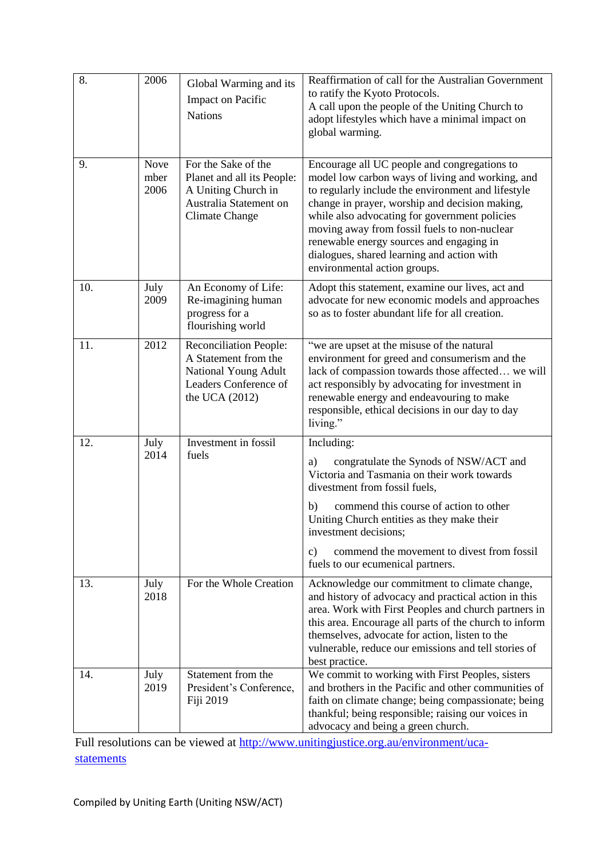| 8.  | 2006                 | Global Warming and its<br>Impact on Pacific<br><b>Nations</b>                                                               | Reaffirmation of call for the Australian Government<br>to ratify the Kyoto Protocols.<br>A call upon the people of the Uniting Church to<br>adopt lifestyles which have a minimal impact on<br>global warming.                                                                                                                                                                                                                      |
|-----|----------------------|-----------------------------------------------------------------------------------------------------------------------------|-------------------------------------------------------------------------------------------------------------------------------------------------------------------------------------------------------------------------------------------------------------------------------------------------------------------------------------------------------------------------------------------------------------------------------------|
| 9.  | Nove<br>mber<br>2006 | For the Sake of the<br>Planet and all its People:<br>A Uniting Church in<br>Australia Statement on<br><b>Climate Change</b> | Encourage all UC people and congregations to<br>model low carbon ways of living and working, and<br>to regularly include the environment and lifestyle<br>change in prayer, worship and decision making,<br>while also advocating for government policies<br>moving away from fossil fuels to non-nuclear<br>renewable energy sources and engaging in<br>dialogues, shared learning and action with<br>environmental action groups. |
| 10. | July<br>2009         | An Economy of Life:<br>Re-imagining human<br>progress for a<br>flourishing world                                            | Adopt this statement, examine our lives, act and<br>advocate for new economic models and approaches<br>so as to foster abundant life for all creation.                                                                                                                                                                                                                                                                              |
| 11. | 2012                 | <b>Reconciliation People:</b><br>A Statement from the<br>National Young Adult<br>Leaders Conference of<br>the UCA $(2012)$  | "we are upset at the misuse of the natural<br>environment for greed and consumerism and the<br>lack of compassion towards those affected we will<br>act responsibly by advocating for investment in<br>renewable energy and endeavouring to make<br>responsible, ethical decisions in our day to day<br>living."                                                                                                                    |
| 12. | July<br>2014         | Investment in fossil<br>fuels                                                                                               | Including:<br>congratulate the Synods of NSW/ACT and<br>a)<br>Victoria and Tasmania on their work towards<br>divestment from fossil fuels,<br>commend this course of action to other<br>b)<br>Uniting Church entities as they make their<br>investment decisions;<br>commend the movement to divest from fossil<br>c)<br>fuels to our ecumenical partners.                                                                          |
| 13. | July<br>2018         | For the Whole Creation                                                                                                      | Acknowledge our commitment to climate change,<br>and history of advocacy and practical action in this<br>area. Work with First Peoples and church partners in<br>this area. Encourage all parts of the church to inform<br>themselves, advocate for action, listen to the<br>vulnerable, reduce our emissions and tell stories of<br>best practice.                                                                                 |
| 14. | July<br>2019         | Statement from the<br>President's Conference,<br>Fiji 2019                                                                  | We commit to working with First Peoples, sisters<br>and brothers in the Pacific and other communities of<br>faith on climate change; being compassionate; being<br>thankful; being responsible; raising our voices in<br>advocacy and being a green church.                                                                                                                                                                         |

Full resolutions can be viewed at [http://www.unitingjustice.org.au/environment/uca](http://www.unitingjustice.org.au/environment/uca-statements)[statements](http://www.unitingjustice.org.au/environment/uca-statements)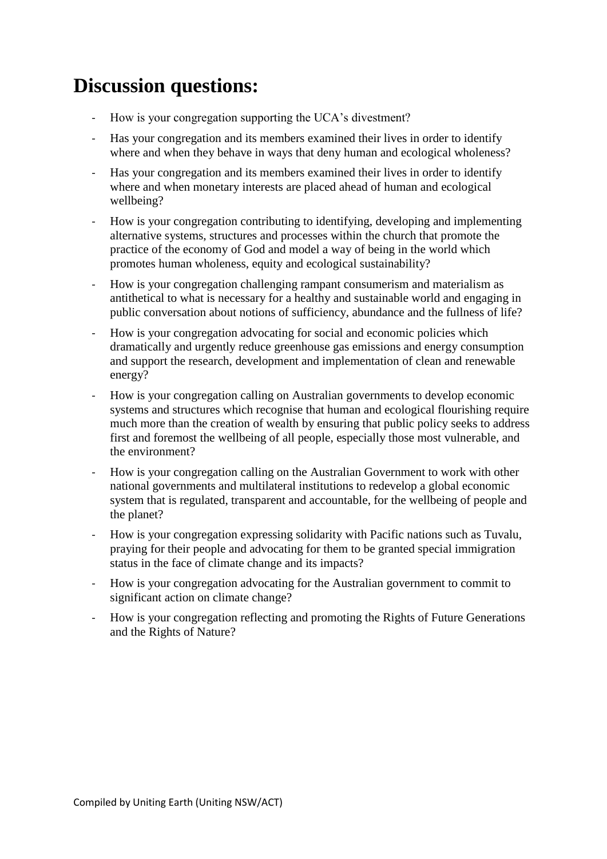# **Discussion questions:**

- How is your congregation supporting the UCA's divestment?
- Has your congregation and its members examined their lives in order to identify where and when they behave in ways that deny human and ecological wholeness?
- Has your congregation and its members examined their lives in order to identify where and when monetary interests are placed ahead of human and ecological wellbeing?
- How is your congregation contributing to identifying, developing and implementing alternative systems, structures and processes within the church that promote the practice of the economy of God and model a way of being in the world which promotes human wholeness, equity and ecological sustainability?
- How is your congregation challenging rampant consumerism and materialism as antithetical to what is necessary for a healthy and sustainable world and engaging in public conversation about notions of sufficiency, abundance and the fullness of life?
- How is your congregation advocating for social and economic policies which dramatically and urgently reduce greenhouse gas emissions and energy consumption and support the research, development and implementation of clean and renewable energy?
- How is your congregation calling on Australian governments to develop economic systems and structures which recognise that human and ecological flourishing require much more than the creation of wealth by ensuring that public policy seeks to address first and foremost the wellbeing of all people, especially those most vulnerable, and the environment?
- How is your congregation calling on the Australian Government to work with other national governments and multilateral institutions to redevelop a global economic system that is regulated, transparent and accountable, for the wellbeing of people and the planet?
- How is your congregation expressing solidarity with Pacific nations such as Tuvalu, praying for their people and advocating for them to be granted special immigration status in the face of climate change and its impacts?
- How is your congregation advocating for the Australian government to commit to significant action on climate change?
- How is your congregation reflecting and promoting the Rights of Future Generations and the Rights of Nature?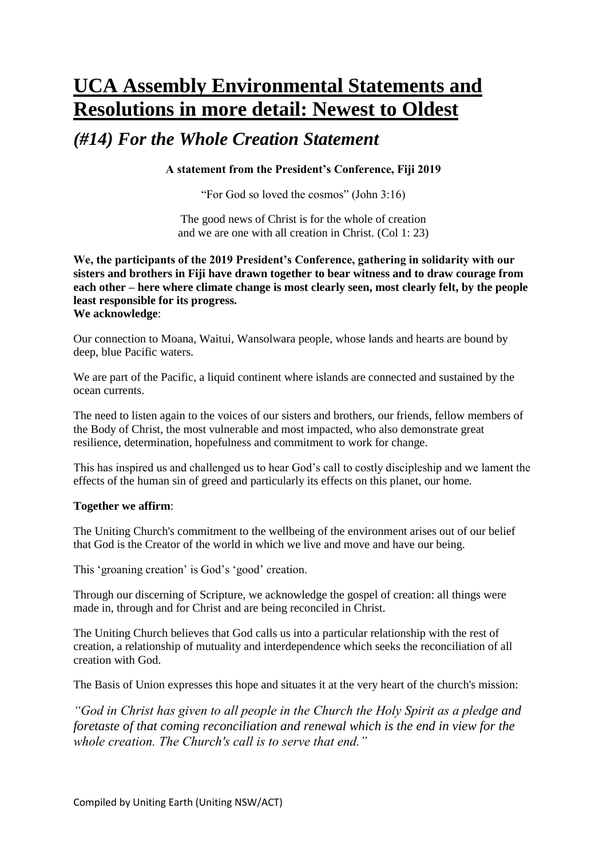# **UCA Assembly Environmental Statements and Resolutions in more detail: Newest to Oldest**

### *(#14) For the Whole Creation Statement*

#### **A statement from the President's Conference, Fiji 2019**

"For God so loved the cosmos" (John 3:16)

The good news of Christ is for the whole of creation and we are one with all creation in Christ. (Col 1: 23)

**We, the participants of the 2019 President's Conference, gathering in solidarity with our sisters and brothers in Fiji have drawn together to bear witness and to draw courage from each other – here where climate change is most clearly seen, most clearly felt, by the people least responsible for its progress. We acknowledge**:

Our connection to Moana, Waitui, Wansolwara people, whose lands and hearts are bound by deep, blue Pacific waters.

We are part of the Pacific, a liquid continent where islands are connected and sustained by the ocean currents.

The need to listen again to the voices of our sisters and brothers, our friends, fellow members of the Body of Christ, the most vulnerable and most impacted, who also demonstrate great resilience, determination, hopefulness and commitment to work for change.

This has inspired us and challenged us to hear God's call to costly discipleship and we lament the effects of the human sin of greed and particularly its effects on this planet, our home.

#### **Together we affirm**:

The Uniting Church's commitment to the wellbeing of the environment arises out of our belief that God is the Creator of the world in which we live and move and have our being.

This 'groaning creation' is God's 'good' creation.

Through our discerning of Scripture, we acknowledge the gospel of creation: all things were made in, through and for Christ and are being reconciled in Christ.

The Uniting Church believes that God calls us into a particular relationship with the rest of creation, a relationship of mutuality and interdependence which seeks the reconciliation of all creation with God.

The Basis of Union expresses this hope and situates it at the very heart of the church's mission:

*"God in Christ has given to all people in the Church the Holy Spirit as a pledge and foretaste of that coming reconciliation and renewal which is the end in view for the whole creation. The Church's call is to serve that end."*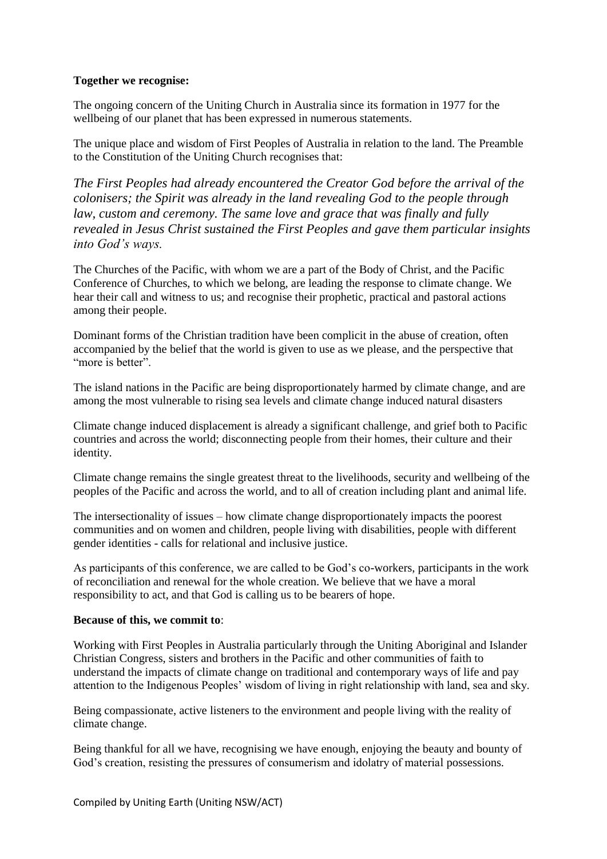#### **Together we recognise:**

The ongoing concern of the Uniting Church in Australia since its formation in 1977 for the wellbeing of our planet that has been expressed in numerous statements.

The unique place and wisdom of First Peoples of Australia in relation to the land. The Preamble to the Constitution of the Uniting Church recognises that:

*The First Peoples had already encountered the Creator God before the arrival of the colonisers; the Spirit was already in the land revealing God to the people through*  law, custom and ceremony. The same love and grace that was finally and fully *revealed in Jesus Christ sustained the First Peoples and gave them particular insights into God's ways.*

The Churches of the Pacific, with whom we are a part of the Body of Christ, and the Pacific Conference of Churches, to which we belong, are leading the response to climate change. We hear their call and witness to us; and recognise their prophetic, practical and pastoral actions among their people.

Dominant forms of the Christian tradition have been complicit in the abuse of creation, often accompanied by the belief that the world is given to use as we please, and the perspective that "more is better".

The island nations in the Pacific are being disproportionately harmed by climate change, and are among the most vulnerable to rising sea levels and climate change induced natural disasters

Climate change induced displacement is already a significant challenge, and grief both to Pacific countries and across the world; disconnecting people from their homes, their culture and their identity.

Climate change remains the single greatest threat to the livelihoods, security and wellbeing of the peoples of the Pacific and across the world, and to all of creation including plant and animal life.

The intersectionality of issues – how climate change disproportionately impacts the poorest communities and on women and children, people living with disabilities, people with different gender identities - calls for relational and inclusive justice.

As participants of this conference, we are called to be God's co-workers, participants in the work of reconciliation and renewal for the whole creation. We believe that we have a moral responsibility to act, and that God is calling us to be bearers of hope.

#### **Because of this, we commit to**:

Working with First Peoples in Australia particularly through the Uniting Aboriginal and Islander Christian Congress, sisters and brothers in the Pacific and other communities of faith to understand the impacts of climate change on traditional and contemporary ways of life and pay attention to the Indigenous Peoples' wisdom of living in right relationship with land, sea and sky.

Being compassionate, active listeners to the environment and people living with the reality of climate change.

Being thankful for all we have, recognising we have enough, enjoying the beauty and bounty of God's creation, resisting the pressures of consumerism and idolatry of material possessions.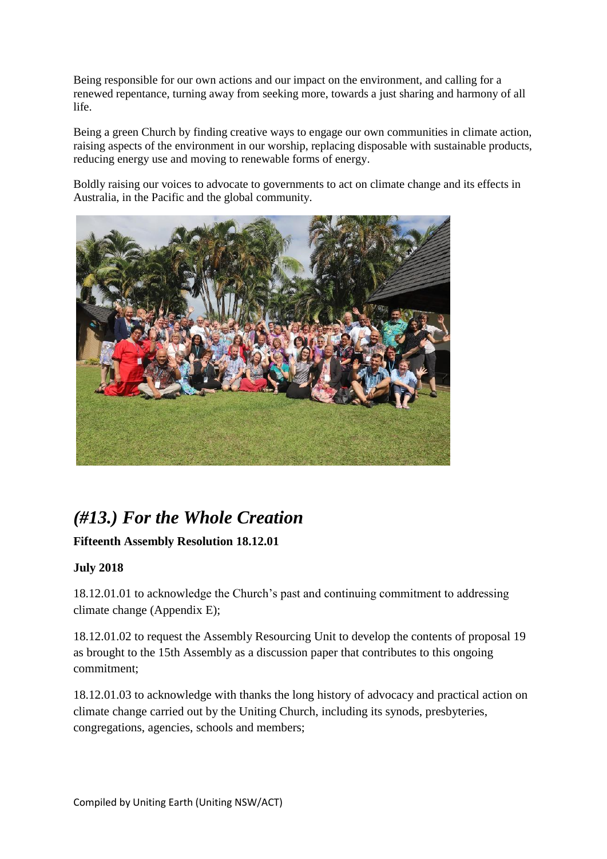Being responsible for our own actions and our impact on the environment, and calling for a renewed repentance, turning away from seeking more, towards a just sharing and harmony of all life.

Being a green Church by finding creative ways to engage our own communities in climate action, raising aspects of the environment in our worship, replacing disposable with sustainable products, reducing energy use and moving to renewable forms of energy.

Boldly raising our voices to advocate to governments to act on climate change and its effects in Australia, in the Pacific and the global community.



# *(#13.) For the Whole Creation*

### **Fifteenth Assembly Resolution 18.12.01**

### **July 2018**

18.12.01.01 to acknowledge the Church's past and continuing commitment to addressing climate change (Appendix E);

18.12.01.02 to request the Assembly Resourcing Unit to develop the contents of proposal 19 as brought to the 15th Assembly as a discussion paper that contributes to this ongoing commitment;

18.12.01.03 to acknowledge with thanks the long history of advocacy and practical action on climate change carried out by the Uniting Church, including its synods, presbyteries, congregations, agencies, schools and members;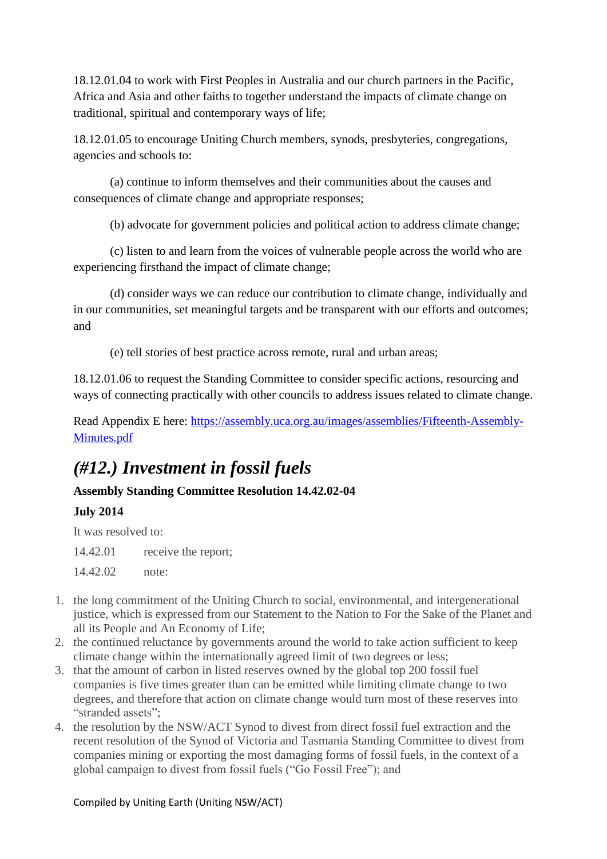18.12.01.04 to work with First Peoples in Australia and our church partners in the Pacific, Africa and Asia and other faiths to together understand the impacts of climate change on traditional, spiritual and contemporary ways of life;

18.12.01.05 to encourage Uniting Church members, synods, presbyteries, congregations, agencies and schools to:

(a) continue to inform themselves and their communities about the causes and consequences of climate change and appropriate responses;

(b) advocate for government policies and political action to address climate change;

(c) listen to and learn from the voices of vulnerable people across the world who are experiencing firsthand the impact of climate change;

(d) consider ways we can reduce our contribution to climate change, individually and in our communities, set meaningful targets and be transparent with our efforts and outcomes; and

(e) tell stories of best practice across remote, rural and urban areas;

18.12.01.06 to request the Standing Committee to consider specific actions, resourcing and ways of connecting practically with other councils to address issues related to climate change.

Read Appendix E here: [https://assembly.uca.org.au/images/assemblies/Fifteenth-Assembly-](https://assembly.uca.org.au/images/assemblies/Fifteenth-Assembly-Minutes.pdf)[Minutes.pdf](https://assembly.uca.org.au/images/assemblies/Fifteenth-Assembly-Minutes.pdf)

# *(#12.) Investment in fossil fuels*

# **Assembly Standing Committee Resolution 14.42.02-04**

**July 2014**

It was resolved to:

14.42.01 receive the report;

14.42.02 note:

- 1. the long commitment of the Uniting Church to social, environmental, and intergenerational justice, which is expressed from our Statement to the Nation to For the Sake of the Planet and all its People and An Economy of Life;
- 2. the continued reluctance by governments around the world to take action sufficient to keep climate change within the internationally agreed limit of two degrees or less;
- 3. that the amount of carbon in listed reserves owned by the global top 200 fossil fuel companies is five times greater than can be emitted while limiting climate change to two degrees, and therefore that action on climate change would turn most of these reserves into "stranded assets":
- 4. the resolution by the NSW/ACT Synod to divest from direct fossil fuel extraction and the recent resolution of the Synod of Victoria and Tasmania Standing Committee to divest from companies mining or exporting the most damaging forms of fossil fuels, in the context of a global campaign to divest from fossil fuels ("Go Fossil Free"); and

#### Compiled by Uniting Earth (Uniting NSW/ACT)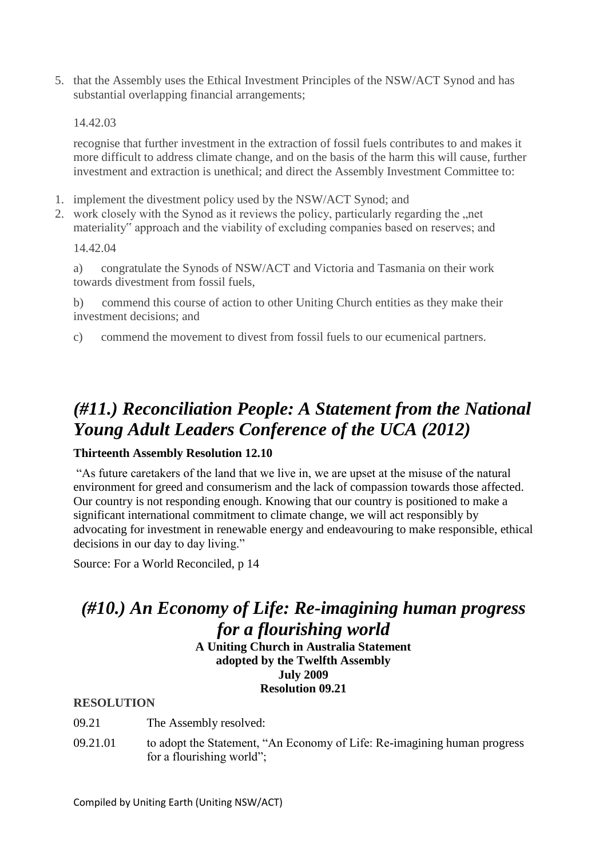5. that the Assembly uses the Ethical Investment Principles of the NSW/ACT Synod and has substantial overlapping financial arrangements;

#### 14.42.03

recognise that further investment in the extraction of fossil fuels contributes to and makes it more difficult to address climate change, and on the basis of the harm this will cause, further investment and extraction is unethical; and direct the Assembly Investment Committee to:

- 1. implement the divestment policy used by the NSW/ACT Synod; and
- 2. work closely with the Synod as it reviews the policy, particularly regarding the "net materiality" approach and the viability of excluding companies based on reserves; and

14.42.04

a) congratulate the Synods of NSW/ACT and Victoria and Tasmania on their work towards divestment from fossil fuels,

b) commend this course of action to other Uniting Church entities as they make their investment decisions; and

c) commend the movement to divest from fossil fuels to our ecumenical partners.

## *(#11.) Reconciliation People: A Statement from the National Young Adult Leaders Conference of the UCA (2012)*

#### **Thirteenth Assembly Resolution 12.10**

"As future caretakers of the land that we live in, we are upset at the misuse of the natural environment for greed and consumerism and the lack of compassion towards those affected. Our country is not responding enough. Knowing that our country is positioned to make a significant international commitment to climate change, we will act responsibly by advocating for investment in renewable energy and endeavouring to make responsible, ethical decisions in our day to day living."

Source: For a World Reconciled, p 14

### *(#10.) An Economy of Life: Re-imagining human progress for a flourishing world*

**A Uniting Church in Australia Statement adopted by the Twelfth Assembly July 2009 Resolution 09.21**

#### **RESOLUTION**

- 09.21 The Assembly resolved:
- 09.21.01 to adopt the Statement, "An Economy of Life: Re-imagining human progress for a flourishing world";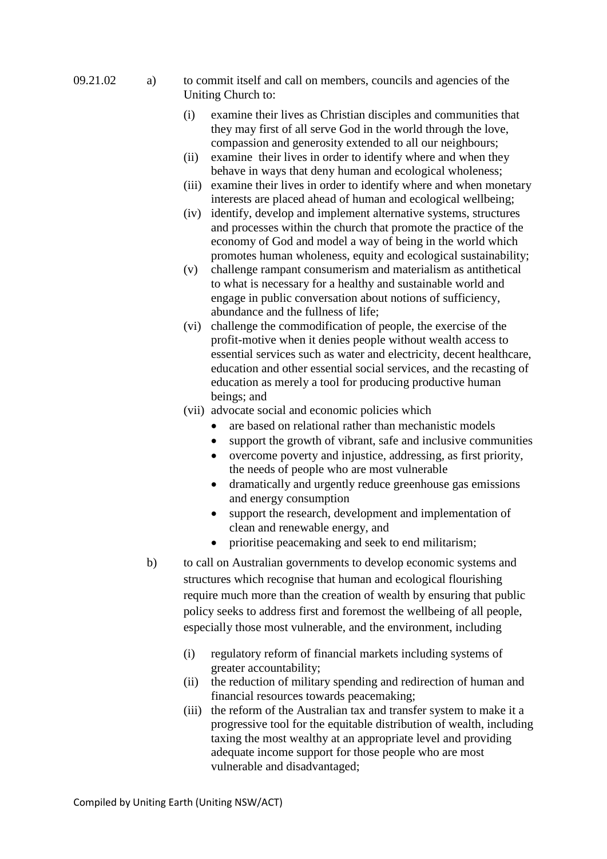#### 09.21.02 a) to commit itself and call on members, councils and agencies of the Uniting Church to:

- (i) examine their lives as Christian disciples and communities that they may first of all serve God in the world through the love, compassion and generosity extended to all our neighbours;
- (ii) examine their lives in order to identify where and when they behave in ways that deny human and ecological wholeness;
- (iii) examine their lives in order to identify where and when monetary interests are placed ahead of human and ecological wellbeing;
- (iv) identify, develop and implement alternative systems, structures and processes within the church that promote the practice of the economy of God and model a way of being in the world which promotes human wholeness, equity and ecological sustainability;
- (v) challenge rampant consumerism and materialism as antithetical to what is necessary for a healthy and sustainable world and engage in public conversation about notions of sufficiency, abundance and the fullness of life;
- (vi) challenge the commodification of people, the exercise of the profit-motive when it denies people without wealth access to essential services such as water and electricity, decent healthcare, education and other essential social services, and the recasting of education as merely a tool for producing productive human beings; and
- (vii) advocate social and economic policies which
	- are based on relational rather than mechanistic models
	- support the growth of vibrant, safe and inclusive communities
	- overcome poverty and injustice, addressing, as first priority, the needs of people who are most vulnerable
	- dramatically and urgently reduce greenhouse gas emissions and energy consumption
	- support the research, development and implementation of clean and renewable energy, and
	- prioritise peacemaking and seek to end militarism;
- b) to call on Australian governments to develop economic systems and structures which recognise that human and ecological flourishing require much more than the creation of wealth by ensuring that public policy seeks to address first and foremost the wellbeing of all people, especially those most vulnerable, and the environment, including
	- (i) regulatory reform of financial markets including systems of greater accountability;
	- (ii) the reduction of military spending and redirection of human and financial resources towards peacemaking;
	- (iii) the reform of the Australian tax and transfer system to make it a progressive tool for the equitable distribution of wealth, including taxing the most wealthy at an appropriate level and providing adequate income support for those people who are most vulnerable and disadvantaged;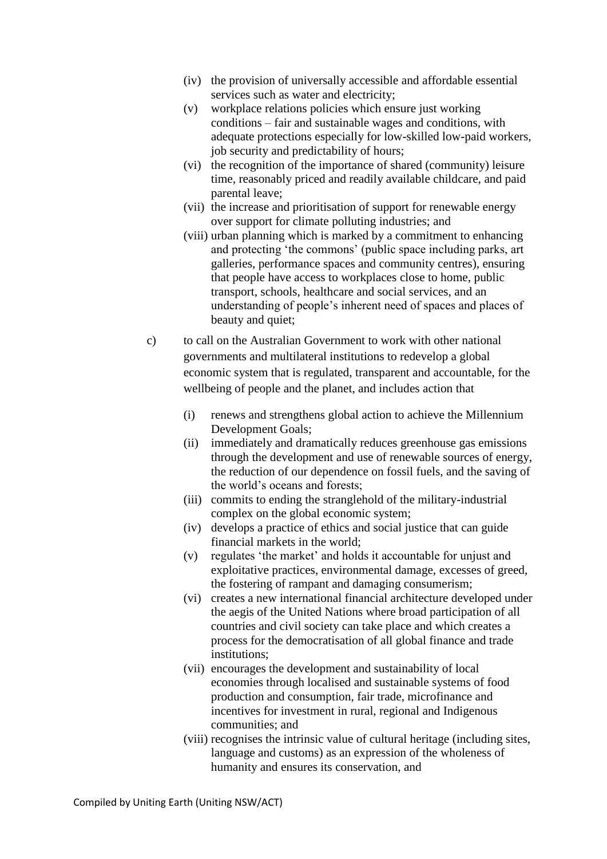- (iv) the provision of universally accessible and affordable essential services such as water and electricity;
- (v) workplace relations policies which ensure just working conditions – fair and sustainable wages and conditions, with adequate protections especially for low-skilled low-paid workers, job security and predictability of hours;
- (vi) the recognition of the importance of shared (community) leisure time, reasonably priced and readily available childcare, and paid parental leave;
- (vii) the increase and prioritisation of support for renewable energy over support for climate polluting industries; and
- (viii) urban planning which is marked by a commitment to enhancing and protecting 'the commons' (public space including parks, art galleries, performance spaces and community centres), ensuring that people have access to workplaces close to home, public transport, schools, healthcare and social services, and an understanding of people's inherent need of spaces and places of beauty and quiet:
- c) to call on the Australian Government to work with other national governments and multilateral institutions to redevelop a global economic system that is regulated, transparent and accountable, for the wellbeing of people and the planet, and includes action that
	- (i) renews and strengthens global action to achieve the Millennium Development Goals;
	- (ii) immediately and dramatically reduces greenhouse gas emissions through the development and use of renewable sources of energy, the reduction of our dependence on fossil fuels, and the saving of the world's oceans and forests;
	- (iii) commits to ending the stranglehold of the military-industrial complex on the global economic system;
	- (iv) develops a practice of ethics and social justice that can guide financial markets in the world;
	- (v) regulates 'the market' and holds it accountable for unjust and exploitative practices, environmental damage, excesses of greed, the fostering of rampant and damaging consumerism;
	- (vi) creates a new international financial architecture developed under the aegis of the United Nations where broad participation of all countries and civil society can take place and which creates a process for the democratisation of all global finance and trade institutions;
	- (vii) encourages the development and sustainability of local economies through localised and sustainable systems of food production and consumption, fair trade, microfinance and incentives for investment in rural, regional and Indigenous communities; and
	- (viii) recognises the intrinsic value of cultural heritage (including sites, language and customs) as an expression of the wholeness of humanity and ensures its conservation, and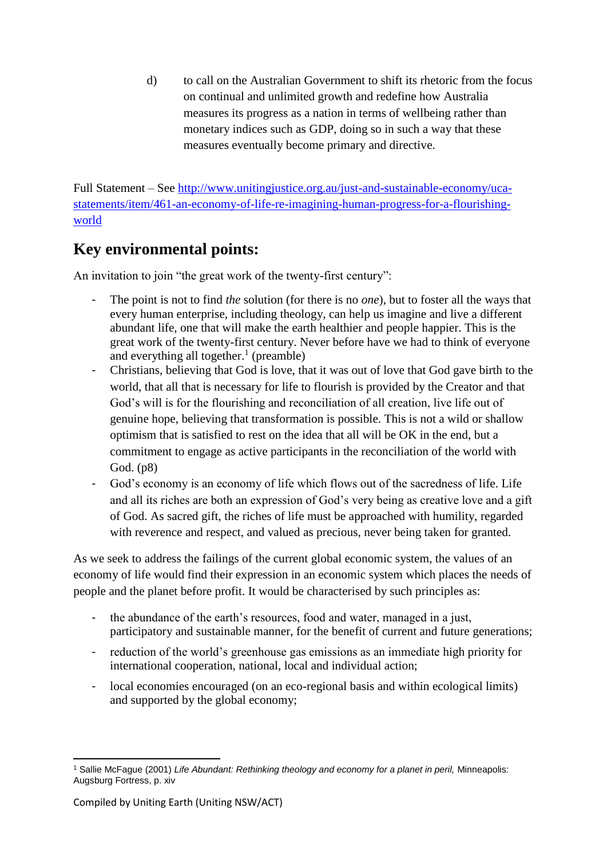d) to call on the Australian Government to shift its rhetoric from the focus on continual and unlimited growth and redefine how Australia measures its progress as a nation in terms of wellbeing rather than monetary indices such as GDP, doing so in such a way that these measures eventually become primary and directive.

Full Statement – See [http://www.unitingjustice.org.au/just-and-sustainable-economy/uca](http://www.unitingjustice.org.au/just-and-sustainable-economy/uca-statements/item/461-an-economy-of-life-re-imagining-human-progress-for-a-flourishing-world)[statements/item/461-an-economy-of-life-re-imagining-human-progress-for-a-flourishing](http://www.unitingjustice.org.au/just-and-sustainable-economy/uca-statements/item/461-an-economy-of-life-re-imagining-human-progress-for-a-flourishing-world)[world](http://www.unitingjustice.org.au/just-and-sustainable-economy/uca-statements/item/461-an-economy-of-life-re-imagining-human-progress-for-a-flourishing-world)

### **Key environmental points:**

An invitation to join "the great work of the twenty-first century":

- The point is not to find *the* solution (for there is no *one*), but to foster all the ways that every human enterprise, including theology, can help us imagine and live a different abundant life, one that will make the earth healthier and people happier. This is the great work of the twenty-first century. Never before have we had to think of everyone and everything all together.<sup>1</sup> (preamble)
- Christians, believing that God is love, that it was out of love that God gave birth to the world, that all that is necessary for life to flourish is provided by the Creator and that God's will is for the flourishing and reconciliation of all creation, live life out of genuine hope, believing that transformation is possible. This is not a wild or shallow optimism that is satisfied to rest on the idea that all will be OK in the end, but a commitment to engage as active participants in the reconciliation of the world with God. (p8)
- God's economy is an economy of life which flows out of the sacredness of life. Life and all its riches are both an expression of God's very being as creative love and a gift of God. As sacred gift, the riches of life must be approached with humility, regarded with reverence and respect, and valued as precious, never being taken for granted.

As we seek to address the failings of the current global economic system, the values of an economy of life would find their expression in an economic system which places the needs of people and the planet before profit. It would be characterised by such principles as:

- the abundance of the earth's resources, food and water, managed in a just, participatory and sustainable manner, for the benefit of current and future generations;
- reduction of the world's greenhouse gas emissions as an immediate high priority for international cooperation, national, local and individual action;
- local economies encouraged (on an eco-regional basis and within ecological limits) and supported by the global economy;

**<sup>.</sup>** <sup>1</sup> Sallie McFague (2001) *Life Abundant: Rethinking theology and economy for a planet in peril,* Minneapolis: Augsburg Fortress, p. xiv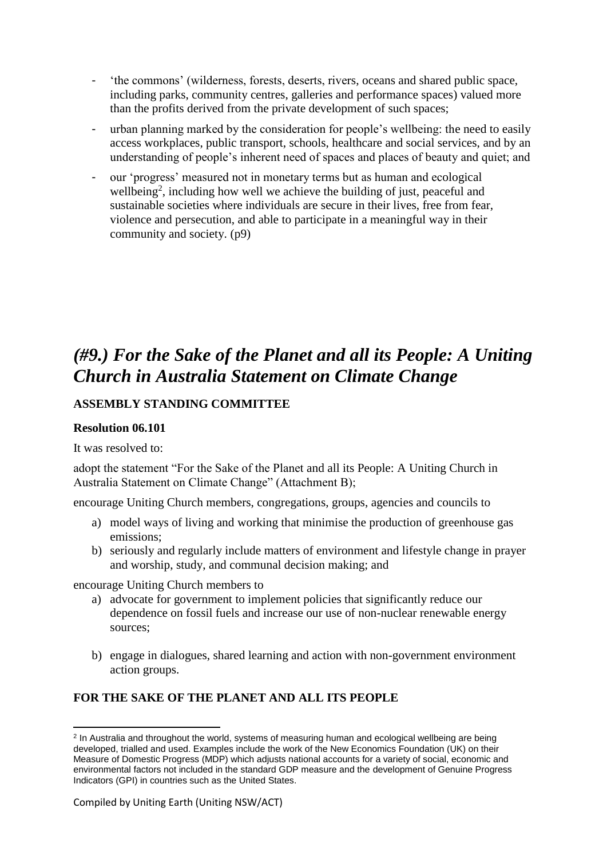- 'the commons' (wilderness, forests, deserts, rivers, oceans and shared public space, including parks, community centres, galleries and performance spaces) valued more than the profits derived from the private development of such spaces;
- urban planning marked by the consideration for people's wellbeing: the need to easily access workplaces, public transport, schools, healthcare and social services, and by an understanding of people's inherent need of spaces and places of beauty and quiet; and
- our 'progress' measured not in monetary terms but as human and ecological wellbeing<sup>2</sup>, including how well we achieve the building of just, peaceful and sustainable societies where individuals are secure in their lives, free from fear, violence and persecution, and able to participate in a meaningful way in their community and society. (p9)

# *(#9.) For the Sake of the Planet and all its People: A Uniting Church in Australia Statement on Climate Change*

### **ASSEMBLY STANDING COMMITTEE**

#### **Resolution 06.101**

It was resolved to:

adopt the statement "For the Sake of the Planet and all its People: A Uniting Church in Australia Statement on Climate Change" (Attachment B);

encourage Uniting Church members, congregations, groups, agencies and councils to

- a) model ways of living and working that minimise the production of greenhouse gas emissions;
- b) seriously and regularly include matters of environment and lifestyle change in prayer and worship, study, and communal decision making; and

encourage Uniting Church members to

- a) advocate for government to implement policies that significantly reduce our dependence on fossil fuels and increase our use of non-nuclear renewable energy sources;
- b) engage in dialogues, shared learning and action with non-government environment action groups.

### **FOR THE SAKE OF THE PLANET AND ALL ITS PEOPLE**

<sup>1</sup> <sup>2</sup> In Australia and throughout the world, systems of measuring human and ecological wellbeing are being developed, trialled and used. Examples include the work of the New Economics Foundation (UK) on their Measure of Domestic Progress (MDP) which adjusts national accounts for a variety of social, economic and environmental factors not included in the standard GDP measure and the development of Genuine Progress Indicators (GPI) in countries such as the United States.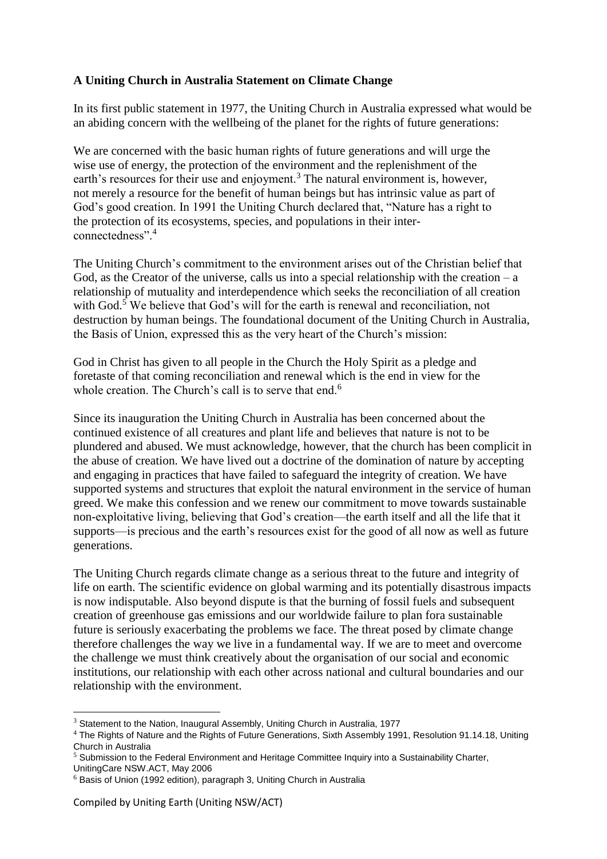#### **A Uniting Church in Australia Statement on Climate Change**

In its first public statement in 1977, the Uniting Church in Australia expressed what would be an abiding concern with the wellbeing of the planet for the rights of future generations:

We are concerned with the basic human rights of future generations and will urge the wise use of energy, the protection of the environment and the replenishment of the earth's resources for their use and enjoyment.<sup>3</sup> The natural environment is, however, not merely a resource for the benefit of human beings but has intrinsic value as part of God's good creation. In 1991 the Uniting Church declared that, "Nature has a right to the protection of its ecosystems, species, and populations in their interconnectedness".<sup>4</sup>

The Uniting Church's commitment to the environment arises out of the Christian belief that God, as the Creator of the universe, calls us into a special relationship with the creation – a relationship of mutuality and interdependence which seeks the reconciliation of all creation with God.<sup>5</sup> We believe that God's will for the earth is renewal and reconciliation, not destruction by human beings. The foundational document of the Uniting Church in Australia, the Basis of Union, expressed this as the very heart of the Church's mission:

God in Christ has given to all people in the Church the Holy Spirit as a pledge and foretaste of that coming reconciliation and renewal which is the end in view for the whole creation. The Church's call is to serve that end.<sup>6</sup>

Since its inauguration the Uniting Church in Australia has been concerned about the continued existence of all creatures and plant life and believes that nature is not to be plundered and abused. We must acknowledge, however, that the church has been complicit in the abuse of creation. We have lived out a doctrine of the domination of nature by accepting and engaging in practices that have failed to safeguard the integrity of creation. We have supported systems and structures that exploit the natural environment in the service of human greed. We make this confession and we renew our commitment to move towards sustainable non-exploitative living, believing that God's creation—the earth itself and all the life that it supports—is precious and the earth's resources exist for the good of all now as well as future generations.

The Uniting Church regards climate change as a serious threat to the future and integrity of life on earth. The scientific evidence on global warming and its potentially disastrous impacts is now indisputable. Also beyond dispute is that the burning of fossil fuels and subsequent creation of greenhouse gas emissions and our worldwide failure to plan fora sustainable future is seriously exacerbating the problems we face. The threat posed by climate change therefore challenges the way we live in a fundamental way. If we are to meet and overcome the challenge we must think creatively about the organisation of our social and economic institutions, our relationship with each other across national and cultural boundaries and our relationship with the environment.

1

<sup>&</sup>lt;sup>3</sup> Statement to the Nation, Inaugural Assembly, Uniting Church in Australia, 1977

<sup>4</sup> The Rights of Nature and the Rights of Future Generations, Sixth Assembly 1991, Resolution 91.14.18, Uniting Church in Australia

 $<sup>5</sup>$  Submission to the Federal Environment and Heritage Committee Inquiry into a Sustainability Charter,</sup>

UnitingCare NSW.ACT, May 2006

<sup>6</sup> Basis of Union (1992 edition), paragraph 3, Uniting Church in Australia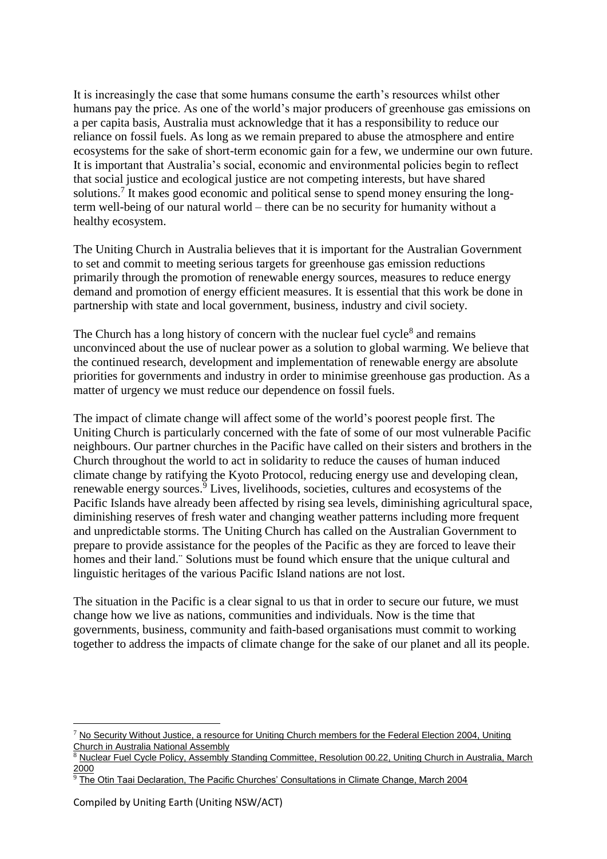It is increasingly the case that some humans consume the earth's resources whilst other humans pay the price. As one of the world's major producers of greenhouse gas emissions on a per capita basis, Australia must acknowledge that it has a responsibility to reduce our reliance on fossil fuels. As long as we remain prepared to abuse the atmosphere and entire ecosystems for the sake of short-term economic gain for a few, we undermine our own future. It is important that Australia's social, economic and environmental policies begin to reflect that social justice and ecological justice are not competing interests, but have shared solutions.<sup>7</sup> It makes good economic and political sense to spend money ensuring the longterm well-being of our natural world – there can be no security for humanity without a healthy ecosystem.

The Uniting Church in Australia believes that it is important for the Australian Government to set and commit to meeting serious targets for greenhouse gas emission reductions primarily through the promotion of renewable energy sources, measures to reduce energy demand and promotion of energy efficient measures. It is essential that this work be done in partnership with state and local government, business, industry and civil society.

The Church has a long history of concern with the nuclear fuel cycle<sup>8</sup> and remains unconvinced about the use of nuclear power as a solution to global warming. We believe that the continued research, development and implementation of renewable energy are absolute priorities for governments and industry in order to minimise greenhouse gas production. As a matter of urgency we must reduce our dependence on fossil fuels.

The impact of climate change will affect some of the world's poorest people first. The Uniting Church is particularly concerned with the fate of some of our most vulnerable Pacific neighbours. Our partner churches in the Pacific have called on their sisters and brothers in the Church throughout the world to act in solidarity to reduce the causes of human induced climate change by ratifying the Kyoto Protocol, reducing energy use and developing clean, renewable energy sources.<sup>9</sup> Lives, livelihoods, societies, cultures and ecosystems of the Pacific Islands have already been affected by rising sea levels, diminishing agricultural space, diminishing reserves of fresh water and changing weather patterns including more frequent and unpredictable storms. The Uniting Church has called on the Australian Government to prepare to provide assistance for the peoples of the Pacific as they are forced to leave their homes and their land.¨ Solutions must be found which ensure that the unique cultural and linguistic heritages of the various Pacific Island nations are not lost.

The situation in the Pacific is a clear signal to us that in order to secure our future, we must change how we live as nations, communities and individuals. Now is the time that governments, business, community and faith-based organisations must commit to working together to address the impacts of climate change for the sake of our planet and all its people.

1

 $7$  No Security Without Justice, a resource for Uniting Church members for the Federal Election 2004, Uniting Church in Australia National Assembly

Nuclear Fuel Cycle Policy, Assembly Standing Committee, Resolution 00.22, Uniting Church in Australia, March 2000

<sup>9</sup> The Otin Taai Declaration, The Pacific Churches' Consultations in Climate Change, March 2004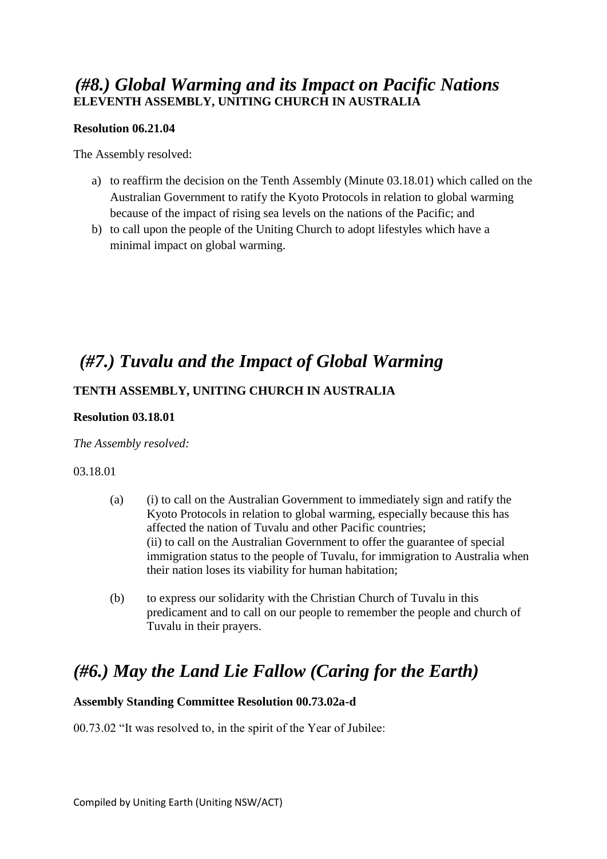### *(#8.) Global Warming and its Impact on Pacific Nations* **ELEVENTH ASSEMBLY, UNITING CHURCH IN AUSTRALIA**

#### **Resolution 06.21.04**

The Assembly resolved:

- a) to reaffirm the decision on the Tenth Assembly (Minute 03.18.01) which called on the Australian Government to ratify the Kyoto Protocols in relation to global warming because of the impact of rising sea levels on the nations of the Pacific; and
- b) to call upon the people of the Uniting Church to adopt lifestyles which have a minimal impact on global warming.

### *(#7.) Tuvalu and the Impact of Global Warming*

### **TENTH ASSEMBLY, UNITING CHURCH IN AUSTRALIA**

#### **Resolution 03.18.01**

#### *The Assembly resolved:*

#### 03.18.01

- (a) (i) to call on the Australian Government to immediately sign and ratify the Kyoto Protocols in relation to global warming, especially because this has affected the nation of Tuvalu and other Pacific countries; (ii) to call on the Australian Government to offer the guarantee of special immigration status to the people of Tuvalu, for immigration to Australia when their nation loses its viability for human habitation;
- (b) to express our solidarity with the Christian Church of Tuvalu in this predicament and to call on our people to remember the people and church of Tuvalu in their prayers.

## *(#6.) May the Land Lie Fallow (Caring for the Earth)*

#### **Assembly Standing Committee Resolution 00.73.02a-d**

00.73.02 "It was resolved to, in the spirit of the Year of Jubilee: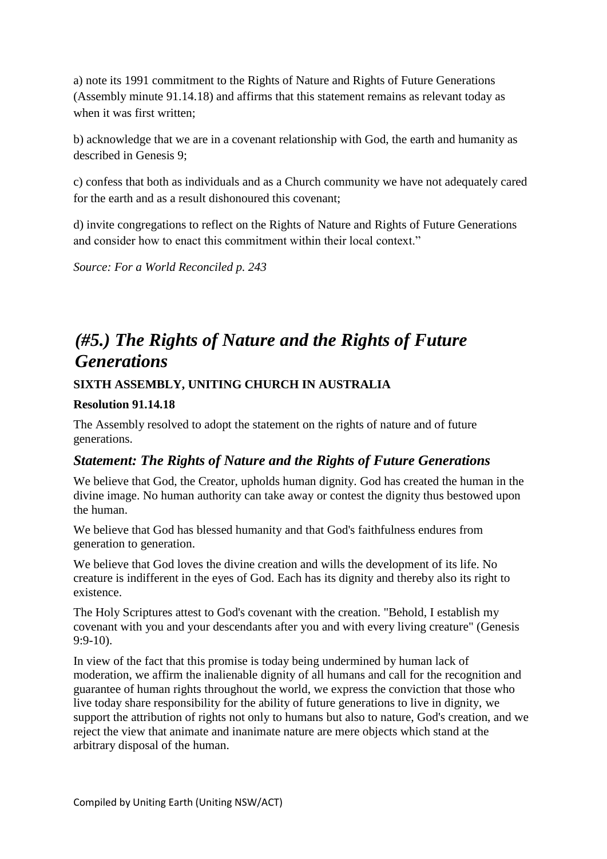a) note its 1991 commitment to the Rights of Nature and Rights of Future Generations (Assembly minute 91.14.18) and affirms that this statement remains as relevant today as when it was first written;

b) acknowledge that we are in a covenant relationship with God, the earth and humanity as described in Genesis 9;

c) confess that both as individuals and as a Church community we have not adequately cared for the earth and as a result dishonoured this covenant;

d) invite congregations to reflect on the Rights of Nature and Rights of Future Generations and consider how to enact this commitment within their local context."

*Source: For a World Reconciled p. 243*

## *(#5.) The Rights of Nature and the Rights of Future Generations*

**SIXTH ASSEMBLY, UNITING CHURCH IN AUSTRALIA**

#### **Resolution 91.14.18**

The Assembly resolved to adopt the statement on the rights of nature and of future generations.

### *Statement: The Rights of Nature and the Rights of Future Generations*

We believe that God, the Creator, upholds human dignity. God has created the human in the divine image. No human authority can take away or contest the dignity thus bestowed upon the human.

We believe that God has blessed humanity and that God's faithfulness endures from generation to generation.

We believe that God loves the divine creation and wills the development of its life. No creature is indifferent in the eyes of God. Each has its dignity and thereby also its right to existence.

The Holy Scriptures attest to God's covenant with the creation. "Behold, I establish my covenant with you and your descendants after you and with every living creature" (Genesis 9:9-10).

In view of the fact that this promise is today being undermined by human lack of moderation, we affirm the inalienable dignity of all humans and call for the recognition and guarantee of human rights throughout the world, we express the conviction that those who live today share responsibility for the ability of future generations to live in dignity, we support the attribution of rights not only to humans but also to nature, God's creation, and we reject the view that animate and inanimate nature are mere objects which stand at the arbitrary disposal of the human.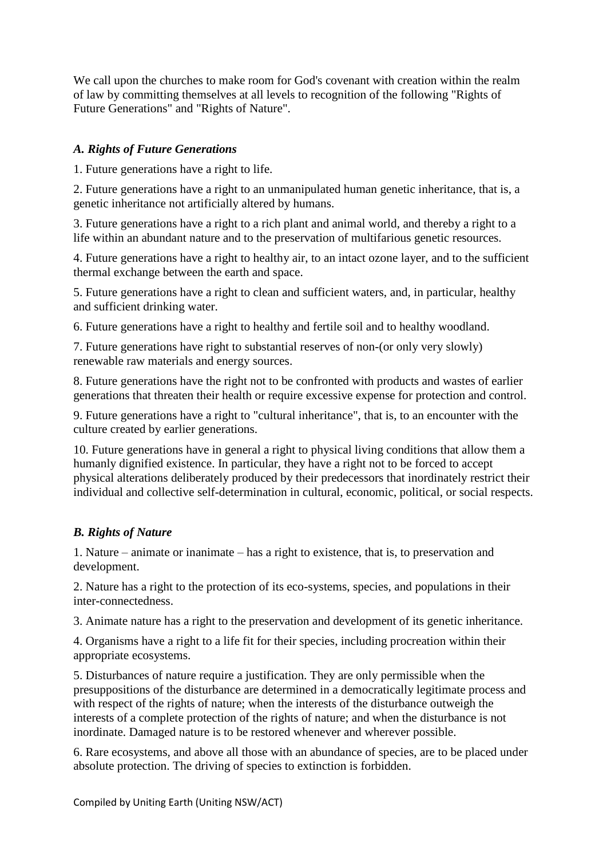We call upon the churches to make room for God's covenant with creation within the realm of law by committing themselves at all levels to recognition of the following "Rights of Future Generations" and "Rights of Nature".

### *A. Rights of Future Generations*

1. Future generations have a right to life.

2. Future generations have a right to an unmanipulated human genetic inheritance, that is, a genetic inheritance not artificially altered by humans.

3. Future generations have a right to a rich plant and animal world, and thereby a right to a life within an abundant nature and to the preservation of multifarious genetic resources.

4. Future generations have a right to healthy air, to an intact ozone layer, and to the sufficient thermal exchange between the earth and space.

5. Future generations have a right to clean and sufficient waters, and, in particular, healthy and sufficient drinking water.

6. Future generations have a right to healthy and fertile soil and to healthy woodland.

7. Future generations have right to substantial reserves of non-(or only very slowly) renewable raw materials and energy sources.

8. Future generations have the right not to be confronted with products and wastes of earlier generations that threaten their health or require excessive expense for protection and control.

9. Future generations have a right to "cultural inheritance", that is, to an encounter with the culture created by earlier generations.

10. Future generations have in general a right to physical living conditions that allow them a humanly dignified existence. In particular, they have a right not to be forced to accept physical alterations deliberately produced by their predecessors that inordinately restrict their individual and collective self-determination in cultural, economic, political, or social respects.

#### *B. Rights of Nature*

1. Nature – animate or inanimate – has a right to existence, that is, to preservation and development.

2. Nature has a right to the protection of its eco-systems, species, and populations in their inter-connectedness.

3. Animate nature has a right to the preservation and development of its genetic inheritance.

4. Organisms have a right to a life fit for their species, including procreation within their appropriate ecosystems.

5. Disturbances of nature require a justification. They are only permissible when the presuppositions of the disturbance are determined in a democratically legitimate process and with respect of the rights of nature; when the interests of the disturbance outweigh the interests of a complete protection of the rights of nature; and when the disturbance is not inordinate. Damaged nature is to be restored whenever and wherever possible.

6. Rare ecosystems, and above all those with an abundance of species, are to be placed under absolute protection. The driving of species to extinction is forbidden.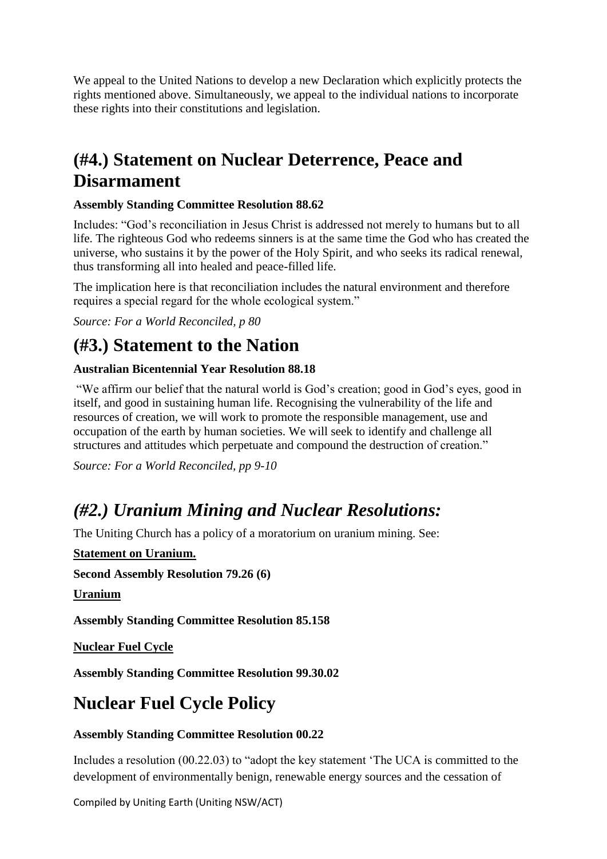We appeal to the United Nations to develop a new Declaration which explicitly protects the rights mentioned above. Simultaneously, we appeal to the individual nations to incorporate these rights into their constitutions and legislation.

# **(#4.) Statement on Nuclear Deterrence, Peace and Disarmament**

### **Assembly Standing Committee Resolution 88.62**

Includes: "God's reconciliation in Jesus Christ is addressed not merely to humans but to all life. The righteous God who redeems sinners is at the same time the God who has created the universe, who sustains it by the power of the Holy Spirit, and who seeks its radical renewal, thus transforming all into healed and peace-filled life.

The implication here is that reconciliation includes the natural environment and therefore requires a special regard for the whole ecological system."

*Source: For a World Reconciled, p 80*

# **(#3.) Statement to the Nation**

### **Australian Bicentennial Year Resolution 88.18**

"We affirm our belief that the natural world is God's creation; good in God's eyes, good in itself, and good in sustaining human life. Recognising the vulnerability of the life and resources of creation, we will work to promote the responsible management, use and occupation of the earth by human societies. We will seek to identify and challenge all structures and attitudes which perpetuate and compound the destruction of creation."

*Source: For a World Reconciled, pp 9-10*

# *(#2.) Uranium Mining and Nuclear Resolutions:*

The Uniting Church has a policy of a moratorium on uranium mining. See:

**Statement on Uranium.** 

**Second Assembly Resolution 79.26 (6)** 

**Uranium**

**Assembly Standing Committee Resolution 85.158**

**Nuclear Fuel Cycle**

**Assembly Standing Committee Resolution 99.30.02**

# **Nuclear Fuel Cycle Policy**

### **Assembly Standing Committee Resolution 00.22**

Includes a resolution (00.22.03) to "adopt the key statement 'The UCA is committed to the development of environmentally benign, renewable energy sources and the cessation of

Compiled by Uniting Earth (Uniting NSW/ACT)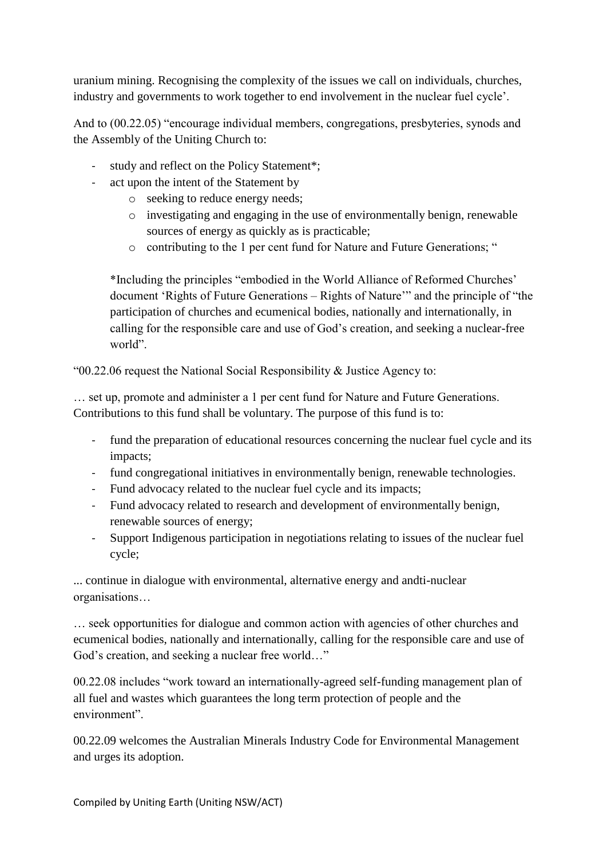uranium mining. Recognising the complexity of the issues we call on individuals, churches, industry and governments to work together to end involvement in the nuclear fuel cycle'.

And to (00.22.05) "encourage individual members, congregations, presbyteries, synods and the Assembly of the Uniting Church to:

- study and reflect on the Policy Statement\*;
- act upon the intent of the Statement by
	- o seeking to reduce energy needs;
	- o investigating and engaging in the use of environmentally benign, renewable sources of energy as quickly as is practicable;
	- o contributing to the 1 per cent fund for Nature and Future Generations; "

\*Including the principles "embodied in the World Alliance of Reformed Churches' document 'Rights of Future Generations – Rights of Nature'" and the principle of "the participation of churches and ecumenical bodies, nationally and internationally, in calling for the responsible care and use of God's creation, and seeking a nuclear-free world".

"00.22.06 request the National Social Responsibility & Justice Agency to:

… set up, promote and administer a 1 per cent fund for Nature and Future Generations. Contributions to this fund shall be voluntary. The purpose of this fund is to:

- fund the preparation of educational resources concerning the nuclear fuel cycle and its impacts;
- fund congregational initiatives in environmentally benign, renewable technologies.
- Fund advocacy related to the nuclear fuel cycle and its impacts;
- Fund advocacy related to research and development of environmentally benign, renewable sources of energy;
- Support Indigenous participation in negotiations relating to issues of the nuclear fuel cycle;

... continue in dialogue with environmental, alternative energy and andti-nuclear organisations…

… seek opportunities for dialogue and common action with agencies of other churches and ecumenical bodies, nationally and internationally, calling for the responsible care and use of God's creation, and seeking a nuclear free world…"

00.22.08 includes "work toward an internationally-agreed self-funding management plan of all fuel and wastes which guarantees the long term protection of people and the environment".

00.22.09 welcomes the Australian Minerals Industry Code for Environmental Management and urges its adoption.